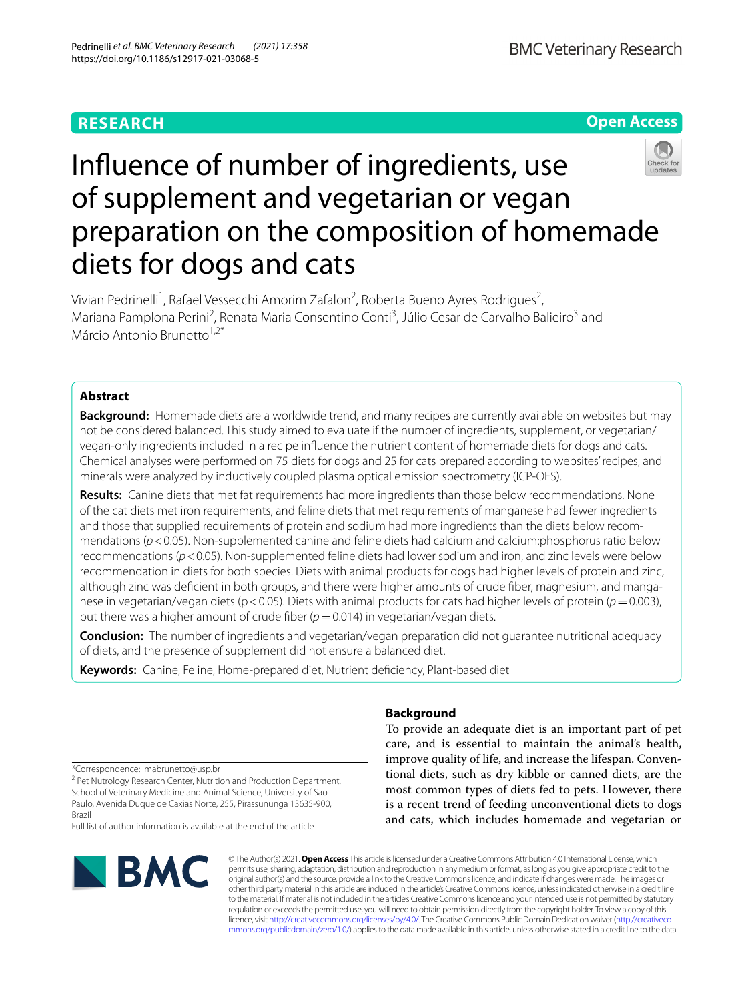# **RESEARCH**



# Infuence of number of ingredients, use of supplement and vegetarian or vegan preparation on the composition of homemade diets for dogs and cats

Vivian Pedrinelli<sup>1</sup>, Rafael Vessecchi Amorim Zafalon<sup>2</sup>, Roberta Bueno Ayres Rodrigues<sup>2</sup>, Mariana Pamplona Perini<sup>2</sup>, Renata Maria Consentino Conti<sup>3</sup>, Júlio Cesar de Carvalho Balieiro<sup>3</sup> and Márcio Antonio Brunetto $1,2^*$ 

# **Abstract**

**Background:** Homemade diets are a worldwide trend, and many recipes are currently available on websites but may not be considered balanced. This study aimed to evaluate if the number of ingredients, supplement, or vegetarian/ vegan-only ingredients included in a recipe infuence the nutrient content of homemade diets for dogs and cats. Chemical analyses were performed on 75 diets for dogs and 25 for cats prepared according to websites' recipes, and minerals were analyzed by inductively coupled plasma optical emission spectrometry (ICP-OES).

**Results:** Canine diets that met fat requirements had more ingredients than those below recommendations. None of the cat diets met iron requirements, and feline diets that met requirements of manganese had fewer ingredients and those that supplied requirements of protein and sodium had more ingredients than the diets below recommendations (*p*<0.05). Non-supplemented canine and feline diets had calcium and calcium:phosphorus ratio below recommendations (*p*<0.05). Non-supplemented feline diets had lower sodium and iron, and zinc levels were below recommendation in diets for both species. Diets with animal products for dogs had higher levels of protein and zinc, although zinc was defcient in both groups, and there were higher amounts of crude fber, magnesium, and manganese in vegetarian/vegan diets (p < 0.05). Diets with animal products for cats had higher levels of protein (p = 0.003), but there was a higher amount of crude fiber  $(p=0.014)$  in vegetarian/vegan diets.

**Conclusion:** The number of ingredients and vegetarian/vegan preparation did not guarantee nutritional adequacy of diets, and the presence of supplement did not ensure a balanced diet.

**Keywords:** Canine, Feline, Home-prepared diet, Nutrient defciency, Plant-based diet

# **Background**

To provide an adequate diet is an important part of pet care, and is essential to maintain the animal's health, improve quality of life, and increase the lifespan. Conventional diets, such as dry kibble or canned diets, are the most common types of diets fed to pets. However, there is a recent trend of feeding unconventional diets to dogs and cats, which includes homemade and vegetarian or

\*Correspondence: mabrunetto@usp.br

<sup>2</sup> Pet Nutrology Research Center, Nutrition and Production Department, School of Veterinary Medicine and Animal Science, University of Sao Paulo, Avenida Duque de Caxias Norte, 255, Pirassununga 13635-900, Brazil

Full list of author information is available at the end of the article



© The Author(s) 2021. **Open Access** This article is licensed under a Creative Commons Attribution 4.0 International License, which permits use, sharing, adaptation, distribution and reproduction in any medium or format, as long as you give appropriate credit to the original author(s) and the source, provide a link to the Creative Commons licence, and indicate if changes were made. The images or other third party material in this article are included in the article's Creative Commons licence, unless indicated otherwise in a credit line to the material. If material is not included in the article's Creative Commons licence and your intended use is not permitted by statutory regulation or exceeds the permitted use, you will need to obtain permission directly from the copyright holder. To view a copy of this licence, visit [http://creativecommons.org/licenses/by/4.0/.](http://creativecommons.org/licenses/by/4.0/) The Creative Commons Public Domain Dedication waiver ([http://creativeco](http://creativecommons.org/publicdomain/zero/1.0/) [mmons.org/publicdomain/zero/1.0/](http://creativecommons.org/publicdomain/zero/1.0/)) applies to the data made available in this article, unless otherwise stated in a credit line to the data.

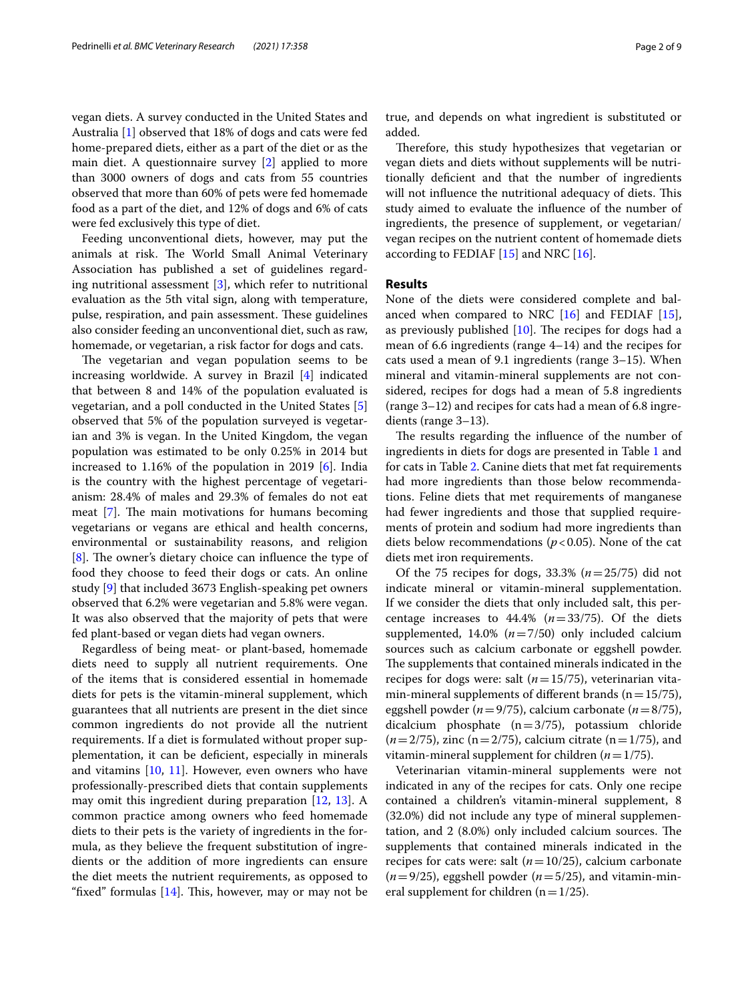vegan diets. A survey conducted in the United States and Australia [\[1](#page-7-0)] observed that 18% of dogs and cats were fed home-prepared diets, either as a part of the diet or as the main diet. A questionnaire survey [[2\]](#page-7-1) applied to more than 3000 owners of dogs and cats from 55 countries observed that more than 60% of pets were fed homemade food as a part of the diet, and 12% of dogs and 6% of cats were fed exclusively this type of diet.

Feeding unconventional diets, however, may put the animals at risk. The World Small Animal Veterinary Association has published a set of guidelines regarding nutritional assessment [[3](#page-7-2)], which refer to nutritional evaluation as the 5th vital sign, along with temperature, pulse, respiration, and pain assessment. These guidelines also consider feeding an unconventional diet, such as raw, homemade, or vegetarian, a risk factor for dogs and cats.

The vegetarian and vegan population seems to be increasing worldwide. A survey in Brazil [[4\]](#page-7-3) indicated that between 8 and 14% of the population evaluated is vegetarian, and a poll conducted in the United States [\[5](#page-7-4)] observed that 5% of the population surveyed is vegetarian and 3% is vegan. In the United Kingdom, the vegan population was estimated to be only 0.25% in 2014 but increased to 1.16% of the population in 2019 [\[6](#page-7-5)]. India is the country with the highest percentage of vegetarianism: 28.4% of males and 29.3% of females do not eat meat  $[7]$  $[7]$ . The main motivations for humans becoming vegetarians or vegans are ethical and health concerns, environmental or sustainability reasons, and religion [[8\]](#page-7-7). The owner's dietary choice can influence the type of food they choose to feed their dogs or cats. An online study [\[9](#page-7-8)] that included 3673 English-speaking pet owners observed that 6.2% were vegetarian and 5.8% were vegan. It was also observed that the majority of pets that were fed plant-based or vegan diets had vegan owners.

Regardless of being meat- or plant-based, homemade diets need to supply all nutrient requirements. One of the items that is considered essential in homemade diets for pets is the vitamin-mineral supplement, which guarantees that all nutrients are present in the diet since common ingredients do not provide all the nutrient requirements. If a diet is formulated without proper supplementation, it can be defcient, especially in minerals and vitamins [[10](#page-7-9), [11](#page-7-10)]. However, even owners who have professionally-prescribed diets that contain supplements may omit this ingredient during preparation [\[12](#page-7-11), [13\]](#page-7-12). A common practice among owners who feed homemade diets to their pets is the variety of ingredients in the formula, as they believe the frequent substitution of ingredients or the addition of more ingredients can ensure the diet meets the nutrient requirements, as opposed to "fixed" formulas  $[14]$  $[14]$ . This, however, may or may not be

true, and depends on what ingredient is substituted or added.

Therefore, this study hypothesizes that vegetarian or vegan diets and diets without supplements will be nutritionally defcient and that the number of ingredients will not influence the nutritional adequacy of diets. This study aimed to evaluate the infuence of the number of ingredients, the presence of supplement, or vegetarian/ vegan recipes on the nutrient content of homemade diets according to FEDIAF [[15\]](#page-7-14) and NRC [[16](#page-7-15)].

# **Results**

None of the diets were considered complete and balanced when compared to NRC  $[16]$  $[16]$  and FEDIAF  $[15]$  $[15]$ , as previously published  $[10]$  $[10]$ . The recipes for dogs had a mean of 6.6 ingredients (range 4–14) and the recipes for cats used a mean of 9.1 ingredients (range 3–15). When mineral and vitamin-mineral supplements are not considered, recipes for dogs had a mean of 5.8 ingredients (range 3–12) and recipes for cats had a mean of 6.8 ingredients (range 3–13).

The results regarding the influence of the number of ingredients in diets for dogs are presented in Table [1](#page-2-0) and for cats in Table [2.](#page-2-1) Canine diets that met fat requirements had more ingredients than those below recommendations. Feline diets that met requirements of manganese had fewer ingredients and those that supplied requirements of protein and sodium had more ingredients than diets below recommendations ( $p$ <0.05). None of the cat diets met iron requirements.

Of the 75 recipes for dogs, 33.3% (*n*=25/75) did not indicate mineral or vitamin-mineral supplementation. If we consider the diets that only included salt, this percentage increases to 44.4% (*n*=33/75). Of the diets supplemented, 14.0% (*n*=7/50) only included calcium sources such as calcium carbonate or eggshell powder. The supplements that contained minerals indicated in the recipes for dogs were: salt (*n*=15/75), veterinarian vitamin-mineral supplements of different brands ( $n=15/75$ ), eggshell powder (*n*=9/75), calcium carbonate (*n*=8/75), dicalcium phosphate (n=3/75), potassium chloride  $(n=2/75)$ , zinc (n=2/75), calcium citrate (n=1/75), and vitamin-mineral supplement for children (*n*=1/75).

Veterinarian vitamin-mineral supplements were not indicated in any of the recipes for cats. Only one recipe contained a children's vitamin-mineral supplement, 8 (32.0%) did not include any type of mineral supplementation, and  $2$   $(8.0%)$  only included calcium sources. The supplements that contained minerals indicated in the recipes for cats were: salt (*n*=10/25), calcium carbonate  $(n=9/25)$ , eggshell powder  $(n=5/25)$ , and vitamin-mineral supplement for children  $(n=1/25)$ .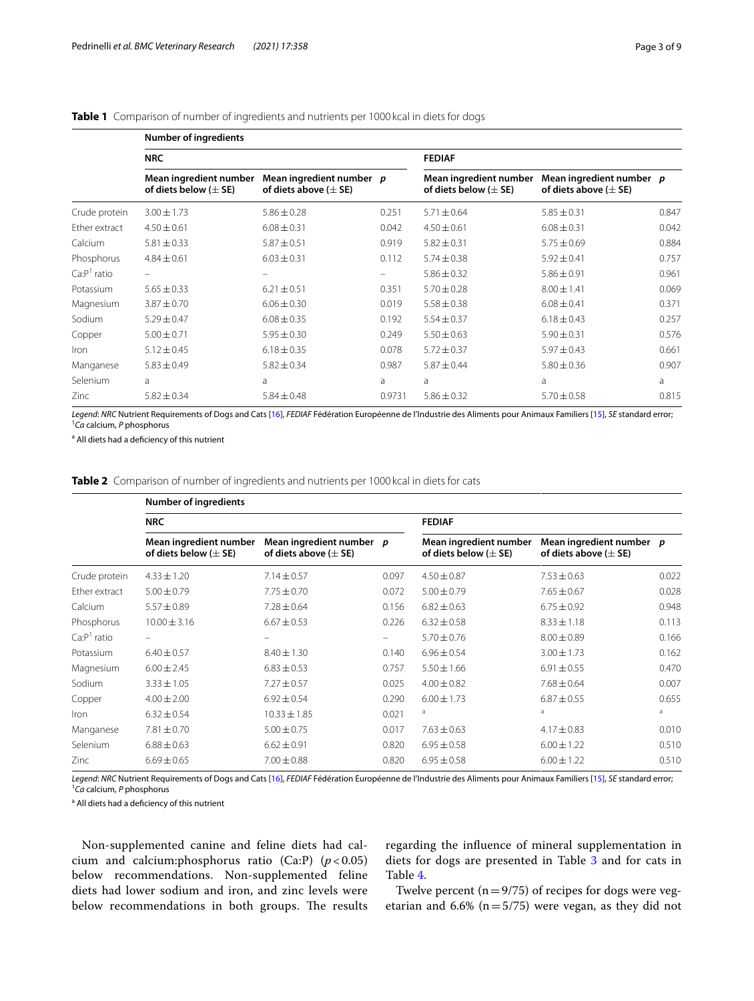# <span id="page-2-0"></span>**Table 1** Comparison of number of ingredients and nutrients per 1000 kcal in diets for dogs

|               | <b>Number of ingredients</b>                         |                                                        |        |                                                      |                                                        |       |  |
|---------------|------------------------------------------------------|--------------------------------------------------------|--------|------------------------------------------------------|--------------------------------------------------------|-------|--|
|               | <b>NRC</b>                                           |                                                        |        | <b>FEDIAF</b>                                        |                                                        |       |  |
|               | Mean ingredient number<br>of diets below ( $\pm$ SE) | Mean ingredient number p<br>of diets above ( $\pm$ SE) |        | Mean ingredient number<br>of diets below ( $\pm$ SE) | Mean ingredient number p<br>of diets above ( $\pm$ SE) |       |  |
| Crude protein | $3.00 \pm 1.73$                                      | $5.86 \pm 0.28$                                        | 0.251  | $5.71 \pm 0.64$                                      | $5.85 \pm 0.31$                                        | 0.847 |  |
| Ether extract | $4.50 \pm 0.61$                                      | $6.08 \pm 0.31$                                        | 0.042  | $4.50 \pm 0.61$                                      | $6.08 \pm 0.31$                                        | 0.042 |  |
| Calcium       | $5.81 \pm 0.33$                                      | $5.87 \pm 0.51$                                        | 0.919  | $5.82 \pm 0.31$                                      | $5.75 \pm 0.69$                                        | 0.884 |  |
| Phosphorus    | $4.84 \pm 0.61$                                      | $6.03 \pm 0.31$                                        | 0.112  | $5.74 \pm 0.38$                                      | $5.92 \pm 0.41$                                        | 0.757 |  |
| $CaP1$ ratio  |                                                      |                                                        | -      | $5.86 \pm 0.32$                                      | $5.86 \pm 0.91$                                        | 0.961 |  |
| Potassium     | $5.65 \pm 0.33$                                      | $6.21 \pm 0.51$                                        | 0.351  | $5.70 \pm 0.28$                                      | $8.00 \pm 1.41$                                        | 0.069 |  |
| Magnesium     | $3.87 \pm 0.70$                                      | $6.06 \pm 0.30$                                        | 0.019  | $5.58 \pm 0.38$                                      | $6.08 \pm 0.41$                                        | 0.371 |  |
| Sodium        | $5.29 \pm 0.47$                                      | $6.08 \pm 0.35$                                        | 0.192  | $5.54 \pm 0.37$                                      | $6.18 \pm 0.43$                                        | 0.257 |  |
| Copper        | $5.00 \pm 0.71$                                      | $5.95 \pm 0.30$                                        | 0.249  | $5.50 \pm 0.63$                                      | $5.90 \pm 0.31$                                        | 0.576 |  |
| Iron          | $5.12 \pm 0.45$                                      | $6.18 \pm 0.35$                                        | 0.078  | $5.72 \pm 0.37$                                      | $5.97 \pm 0.43$                                        | 0.661 |  |
| Manganese     | $5.83 \pm 0.49$                                      | $5.82 \pm 0.34$                                        | 0.987  | $5.87 \pm 0.44$                                      | $5.80 \pm 0.36$                                        | 0.907 |  |
| Selenium      | a                                                    | a                                                      | a      | a                                                    | a                                                      | a     |  |
| Zinc          | $5.82 \pm 0.34$                                      | $5.84 \pm 0.48$                                        | 0.9731 | $5.86 \pm 0.32$                                      | $5.70 \pm 0.58$                                        | 0.815 |  |

*Legend*: *NRC* Nutrient Requirements of Dogs and Cats [16], *FEDIAF* Fédération Européenne de l'Industrie des Aliments pour Animaux Familiers [15], *SE* standard error; 1 *Ca* calcium, *P* phosphorus

<sup>a</sup> All diets had a deficiency of this nutrient

<span id="page-2-1"></span>**Table 2** Comparison of number of ingredients and nutrients per 1000 kcal in diets for cats

|               | <b>Number of ingredients</b>                         |                                                        |                   |                                                      |                                                        |       |
|---------------|------------------------------------------------------|--------------------------------------------------------|-------------------|------------------------------------------------------|--------------------------------------------------------|-------|
|               | <b>NRC</b>                                           |                                                        |                   | <b>FEDIAF</b>                                        |                                                        |       |
|               | Mean ingredient number<br>of diets below ( $\pm$ SE) | Mean ingredient number p<br>of diets above ( $\pm$ SE) |                   | Mean ingredient number<br>of diets below ( $\pm$ SE) | Mean ingredient number p<br>of diets above ( $\pm$ SE) |       |
| Crude protein | $4.33 \pm 1.20$                                      | $7.14 \pm 0.57$                                        | 0.097             | $4.50 \pm 0.87$                                      | $7.53 \pm 0.63$                                        | 0.022 |
| Ether extract | $5.00 \pm 0.79$                                      | $7.75 \pm 0.70$                                        | 0.072             | $5.00 \pm 0.79$                                      | $7.65 \pm 0.67$                                        | 0.028 |
| Calcium       | $5.57 \pm 0.89$                                      | $7.28 \pm 0.64$                                        | 0.156             | $6.82 \pm 0.63$                                      | $6.75 \pm 0.92$                                        | 0.948 |
| Phosphorus    | $10.00 \pm 3.16$                                     | $6.67 \pm 0.53$                                        | 0.226             | $6.32 \pm 0.58$                                      | $8.33 \pm 1.18$                                        | 0.113 |
| $CaP1$ ratio  | $\equiv$                                             |                                                        | $\qquad \qquad -$ | $5.70 \pm 0.76$                                      | $8.00 \pm 0.89$                                        | 0.166 |
| Potassium     | $6.40 \pm 0.57$                                      | $8.40 \pm 1.30$                                        | 0.140             | $6.96 \pm 0.54$                                      | $3.00 \pm 1.73$                                        | 0.162 |
| Magnesium     | $6.00 \pm 2.45$                                      | $6.83 \pm 0.53$                                        | 0.757             | $5.50 \pm 1.66$                                      | $6.91 \pm 0.55$                                        | 0.470 |
| Sodium        | $3.33 \pm 1.05$                                      | $7.27 \pm 0.57$                                        | 0.025             | $4.00 \pm 0.82$                                      | $7.68 \pm 0.64$                                        | 0.007 |
| Copper        | $4.00 \pm 2.00$                                      | $6.92 \pm 0.54$                                        | 0.290             | $6.00 \pm 1.73$                                      | $6.87 \pm 0.55$                                        | 0.655 |
| <i>Iron</i>   | $6.32 \pm 0.54$                                      | $10.33 \pm 1.85$                                       | 0.021             | a                                                    | a                                                      | a     |
| Manganese     | $7.81 \pm 0.70$                                      | $5.00 \pm 0.75$                                        | 0.017             | $7.63 \pm 0.63$                                      | $4.17 \pm 0.83$                                        | 0.010 |
| Selenium      | $6.88 \pm 0.63$                                      | $6.62 \pm 0.91$                                        | 0.820             | $6.95 \pm 0.58$                                      | $6.00 \pm 1.22$                                        | 0.510 |
| Zinc          | $6.69 \pm 0.65$                                      | $7.00 \pm 0.88$                                        | 0.820             | $6.95 \pm 0.58$                                      | $6.00 \pm 1.22$                                        | 0.510 |

*Legend*: *NRC* Nutrient Requirements of Dogs and Cats [\[16](#page-7-15)], *FEDIAF* Fédération Européenne de l'Industrie des Aliments pour Animaux Familiers [[15\]](#page-7-14), *SE* standard error; 1 *Ca* calcium, *P* phosphorus

<sup>a</sup> All diets had a deficiency of this nutrient

Non-supplemented canine and feline diets had calcium and calcium:phosphorus ratio (Ca:P) (*p* < 0.05) below recommendations. Non-supplemented feline diets had lower sodium and iron, and zinc levels were below recommendations in both groups. The results regarding the infuence of mineral supplementation in diets for dogs are presented in Table [3](#page-3-0) and for cats in Table [4.](#page-3-1)

Twelve percent ( $n=9/75$ ) of recipes for dogs were vegetarian and 6.6% ( $n=5/75$ ) were vegan, as they did not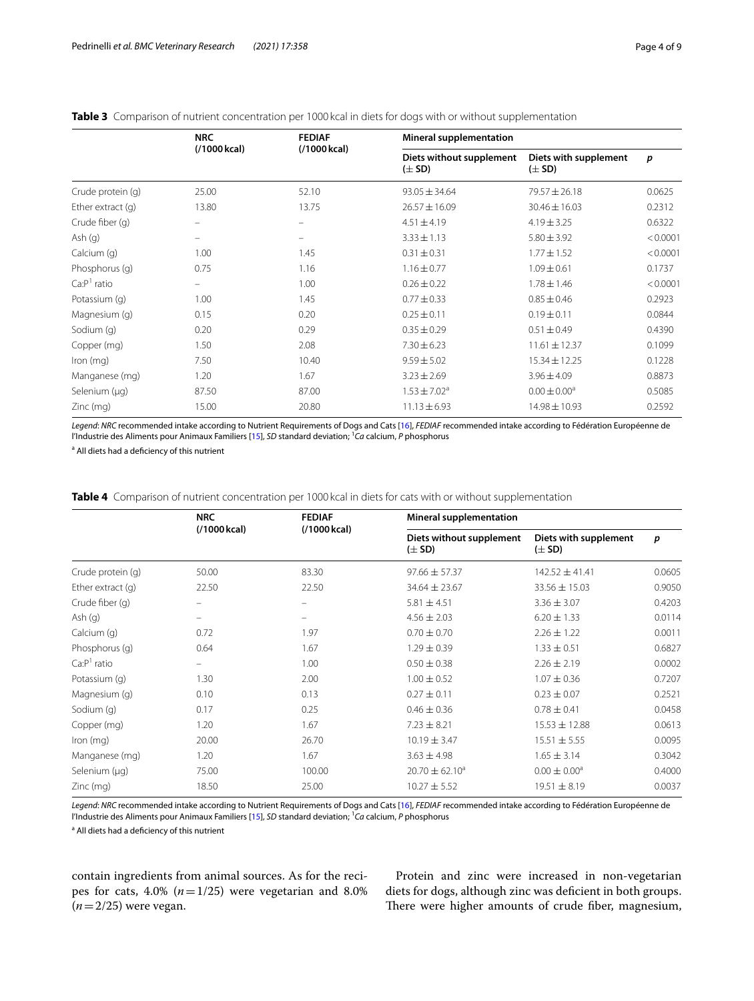# <span id="page-3-0"></span>**Table 3** Comparison of nutrient concentration per 1000 kcal in diets for dogs with or without supplementation

|                     | <b>NRC</b><br>(/1000 kcal) | <b>FEDIAF</b><br>(/1000 kcal) | <b>Mineral supplementation</b>         |                                     |          |  |
|---------------------|----------------------------|-------------------------------|----------------------------------------|-------------------------------------|----------|--|
|                     |                            |                               | Diets without supplement<br>$(\pm$ SD) | Diets with supplement<br>$(\pm$ SD) | p        |  |
| Crude protein (q)   | 25.00                      | 52.10                         | $93.05 \pm 34.64$                      | $79.57 \pm 26.18$                   | 0.0625   |  |
| Ether extract $(q)$ | 13.80                      | 13.75                         | $26.57 \pm 16.09$                      | $30.46 \pm 16.03$                   | 0.2312   |  |
| Crude fiber (q)     | -                          |                               | $4.51 \pm 4.19$                        | $4.19 \pm 3.25$                     | 0.6322   |  |
| Ash(q)              | -                          | $\qquad \qquad =$             | $3.33 \pm 1.13$                        | $5.80 \pm 3.92$                     | < 0.0001 |  |
| Calcium (q)         | 1.00                       | 1.45                          | $0.31 \pm 0.31$                        | $1.77 \pm 1.52$                     | < 0.0001 |  |
| Phosphorus (q)      | 0.75                       | 1.16                          | $1.16 \pm 0.77$                        | $1.09 \pm 0.61$                     | 0.1737   |  |
| $CaP1$ ratio        | $\qquad \qquad =$          | 1.00                          | $0.26 \pm 0.22$                        | $1.78 \pm 1.46$                     | < 0.0001 |  |
| Potassium (q)       | 1.00                       | 1.45                          | $0.77 \pm 0.33$                        | $0.85 \pm 0.46$                     | 0.2923   |  |
| Magnesium (g)       | 0.15                       | 0.20                          | $0.25 \pm 0.11$                        | $0.19 \pm 0.11$                     | 0.0844   |  |
| Sodium (g)          | 0.20                       | 0.29                          | $0.35 \pm 0.29$                        | $0.51 \pm 0.49$                     | 0.4390   |  |
| Copper (mg)         | 1.50                       | 2.08                          | $7.30 \pm 6.23$                        | $11.61 \pm 12.37$                   | 0.1099   |  |
| Iron $(mq)$         | 7.50                       | 10.40                         | $9.59 \pm 5.02$                        | $15.34 \pm 12.25$                   | 0.1228   |  |
| Manganese (mg)      | 1.20                       | 1.67                          | $3.23 \pm 2.69$                        | $3.96 \pm 4.09$                     | 0.8873   |  |
| Selenium (µg)       | 87.50                      | 87.00                         | $1.53 \pm 7.02^a$                      | $0.00 \pm 0.00^a$                   | 0.5085   |  |
| $Zinc$ (mg)         | 15.00                      | 20.80                         | $11.13 \pm 6.93$                       | 14.98 ± 10.93                       | 0.2592   |  |

*Legend*: *NRC* recommended intake according to Nutrient Requirements of Dogs and Cats [\[16\]](#page-7-15), *FEDIAF* recommended intake according to Fédération Européenne de l'Industrie des Aliments pour Animaux Familiers [[15\]](#page-7-14), *SD* standard deviation; 1 *Ca* calcium, *P* phosphorus

<sup>a</sup> All diets had a deficiency of this nutrient

<span id="page-3-1"></span>**Table 4** Comparison of nutrient concentration per 1000 kcal in diets for cats with or without supplementation

|                   | <b>NRC</b><br>(/1000 kcal) | <b>FEDIAF</b><br>(/1000 kcal) | <b>Mineral supplementation</b>         |                                     |                  |  |
|-------------------|----------------------------|-------------------------------|----------------------------------------|-------------------------------------|------------------|--|
|                   |                            |                               | Diets without supplement<br>$(\pm$ SD) | Diets with supplement<br>$(\pm$ SD) | $\boldsymbol{p}$ |  |
| Crude protein (q) | 50.00                      | 83.30                         | $97.66 \pm 57.37$                      | $142.52 \pm 41.41$                  | 0.0605           |  |
| Ether extract (g) | 22.50                      | 22.50                         | $34.64 \pm 23.67$                      | $33.56 \pm 15.03$                   | 0.9050           |  |
| Crude fiber (q)   |                            | $\overline{\phantom{0}}$      | $5.81 \pm 4.51$                        | $3.36 \pm 3.07$                     | 0.4203           |  |
| Ash(q)            |                            | $\overline{\phantom{m}}$      | $4.56 \pm 2.03$                        | $6.20 \pm 1.33$                     | 0.0114           |  |
| Calcium (g)       | 0.72                       | 1.97                          | $0.70 \pm 0.70$                        | $2.26 \pm 1.22$                     | 0.0011           |  |
| Phosphorus (q)    | 0.64                       | 1.67                          | $1.29 \pm 0.39$                        | $1.33 \pm 0.51$                     | 0.6827           |  |
| $CaP1$ ratio      | $\overline{\phantom{a}}$   | 1.00                          | $0.50 \pm 0.38$                        | $2.26 \pm 2.19$                     | 0.0002           |  |
| Potassium (q)     | 1.30                       | 2.00                          | $1.00 \pm 0.52$                        | $1.07 \pm 0.36$                     | 0.7207           |  |
| Magnesium (g)     | 0.10                       | 0.13                          | $0.27 \pm 0.11$                        | $0.23 \pm 0.07$                     | 0.2521           |  |
| Sodium (g)        | 0.17                       | 0.25                          | $0.46 \pm 0.36$                        | $0.78 \pm 0.41$                     | 0.0458           |  |
| Copper (mg)       | 1.20                       | 1.67                          | $7.23 \pm 8.21$                        | $15.53 \pm 12.88$                   | 0.0613           |  |
| Iron (mg)         | 20.00                      | 26.70                         | $10.19 \pm 3.47$                       | $15.51 \pm 5.55$                    | 0.0095           |  |
| Manganese (mg)    | 1.20                       | 1.67                          | $3.63 \pm 4.98$                        | $1.65 \pm 3.14$                     | 0.3042           |  |
| Selenium (µg)     | 75.00                      | 100.00                        | $20.70 \pm 62.10^a$                    | $0.00 \pm 0.00^{\circ}$             | 0.4000           |  |
| $Zinc$ (mg)       | 18.50                      | 25.00                         | $10.27 \pm 5.52$                       | $19.51 \pm 8.19$                    | 0.0037           |  |

*Legend*: *NRC* recommended intake according to Nutrient Requirements of Dogs and Cats [\[16\]](#page-7-15), *FEDIAF* recommended intake according to Fédération Européenne de l'Industrie des Aliments pour Animaux Familiers [[15\]](#page-7-14), *SD* standard deviation; <sup>1</sup>Ca calcium, *P* phosphorus

<sup>a</sup> All diets had a deficiency of this nutrient

contain ingredients from animal sources. As for the recipes for cats,  $4.0\%$  ( $n=1/25$ ) were vegetarian and  $8.0\%$  $(n=2/25)$  were vegan.

Protein and zinc were increased in non-vegetarian diets for dogs, although zinc was defcient in both groups. There were higher amounts of crude fiber, magnesium,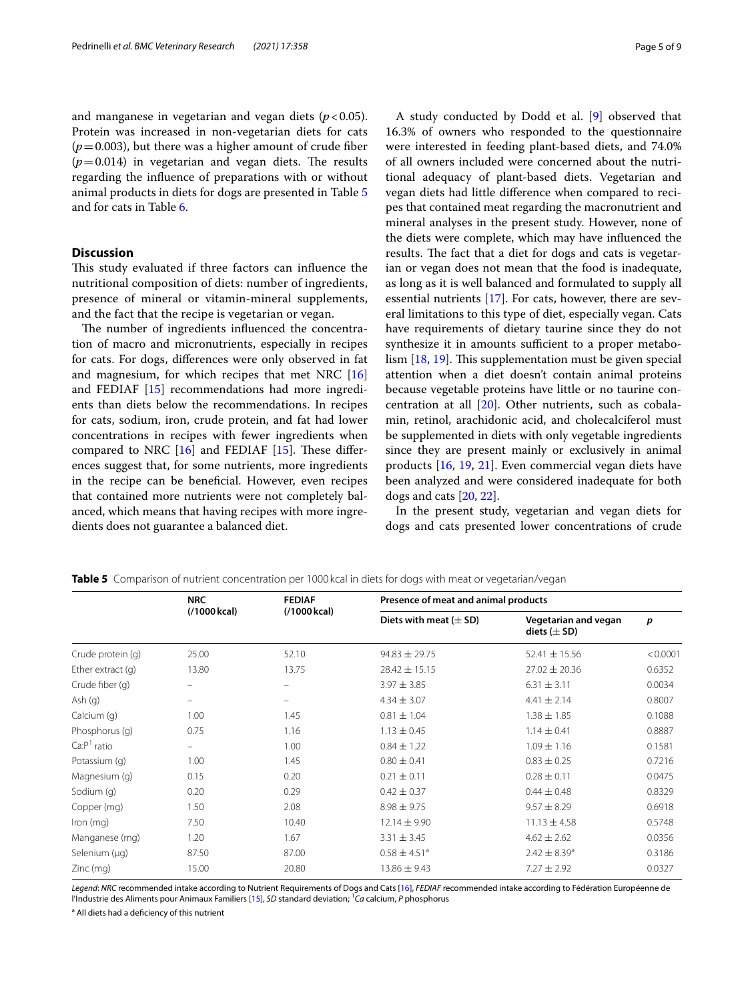and manganese in vegetarian and vegan diets  $(p < 0.05)$ . Protein was increased in non-vegetarian diets for cats  $(p=0.003)$ , but there was a higher amount of crude fiber  $(p=0.014)$  in vegetarian and vegan diets. The results regarding the infuence of preparations with or without animal products in diets for dogs are presented in Table [5](#page-4-0) and for cats in Table [6](#page-5-0).

# **Discussion**

This study evaluated if three factors can influence the nutritional composition of diets: number of ingredients, presence of mineral or vitamin-mineral supplements, and the fact that the recipe is vegetarian or vegan.

The number of ingredients influenced the concentration of macro and micronutrients, especially in recipes for cats. For dogs, diferences were only observed in fat and magnesium, for which recipes that met NRC [[16](#page-7-15)] and FEDIAF [\[15](#page-7-14)] recommendations had more ingredients than diets below the recommendations. In recipes for cats, sodium, iron, crude protein, and fat had lower concentrations in recipes with fewer ingredients when compared to NRC  $[16]$  $[16]$  and FEDIAF  $[15]$  $[15]$ . These differences suggest that, for some nutrients, more ingredients in the recipe can be benefcial. However, even recipes that contained more nutrients were not completely balanced, which means that having recipes with more ingredients does not guarantee a balanced diet.

A study conducted by Dodd et al. [\[9](#page-7-8)] observed that 16.3% of owners who responded to the questionnaire were interested in feeding plant-based diets, and 74.0% of all owners included were concerned about the nutritional adequacy of plant-based diets. Vegetarian and vegan diets had little diference when compared to recipes that contained meat regarding the macronutrient and mineral analyses in the present study. However, none of the diets were complete, which may have infuenced the results. The fact that a diet for dogs and cats is vegetarian or vegan does not mean that the food is inadequate, as long as it is well balanced and formulated to supply all essential nutrients [\[17](#page-7-16)]. For cats, however, there are several limitations to this type of diet, especially vegan. Cats have requirements of dietary taurine since they do not synthesize it in amounts sufficient to a proper metabolism  $[18, 19]$  $[18, 19]$  $[18, 19]$  $[18, 19]$ . This supplementation must be given special attention when a diet doesn't contain animal proteins because vegetable proteins have little or no taurine concentration at all [\[20\]](#page-8-2). Other nutrients, such as cobalamin, retinol, arachidonic acid, and cholecalciferol must be supplemented in diets with only vegetable ingredients since they are present mainly or exclusively in animal products [[16](#page-7-15), [19](#page-8-1), [21\]](#page-8-3). Even commercial vegan diets have been analyzed and were considered inadequate for both dogs and cats [\[20,](#page-8-2) [22](#page-8-4)].

In the present study, vegetarian and vegan diets for dogs and cats presented lower concentrations of crude

|                     | <b>NRC</b><br>(/1000 kcal) | <b>FEDIAF</b><br>(/1000 kcal) | Presence of meat and animal products |                                          |          |  |
|---------------------|----------------------------|-------------------------------|--------------------------------------|------------------------------------------|----------|--|
|                     |                            |                               | Diets with meat $(\pm$ SD)           | Vegetarian and vegan<br>diets $(\pm$ SD) | p        |  |
| Crude protein (q)   | 25.00                      | 52.10                         | $94.83 \pm 29.75$                    | $52.41 \pm 15.56$                        | < 0.0001 |  |
| Ether extract $(q)$ | 13.80                      | 13.75                         | $28.42 \pm 15.15$                    | $27.02 \pm 20.36$                        | 0.6352   |  |
| Crude fiber (q)     | $\overline{\phantom{0}}$   | -                             | $3.97 \pm 3.85$                      | $6.31 \pm 3.11$                          | 0.0034   |  |
| Ash(q)              | $\equiv$                   | -                             | $4.34 \pm 3.07$                      | $4.41 \pm 2.14$                          | 0.8007   |  |
| Calcium (q)         | 1.00                       | 1.45                          | $0.81 \pm 1.04$                      | $1.38 \pm 1.85$                          | 0.1088   |  |
| Phosphorus (q)      | 0.75                       | 1.16                          | $1.13 \pm 0.45$                      | $1.14 \pm 0.41$                          | 0.8887   |  |
| $CaP1$ ratio        | $\overline{\phantom{0}}$   | 1.00                          | $0.84 \pm 1.22$                      | $1.09 \pm 1.16$                          | 0.1581   |  |
| Potassium (q)       | 1.00                       | 1.45                          | $0.80 \pm 0.41$                      | $0.83 \pm 0.25$                          | 0.7216   |  |
| Magnesium (g)       | 0.15                       | 0.20                          | $0.21 \pm 0.11$                      | $0.28 \pm 0.11$                          | 0.0475   |  |
| Sodium (g)          | 0.20                       | 0.29                          | $0.42 \pm 0.37$                      | $0.44 \pm 0.48$                          | 0.8329   |  |
| Copper (mg)         | 1.50                       | 2.08                          | $8.98 \pm 9.75$                      | $9.57 \pm 8.29$                          | 0.6918   |  |
| $lron$ (mg)         | 7.50                       | 10.40                         | $12.14 \pm 9.90$                     | $11.13 \pm 4.58$                         | 0.5748   |  |
| Manganese (mg)      | 1.20                       | 1.67                          | $3.31 \pm 3.45$                      | $4.62 \pm 2.62$                          | 0.0356   |  |
| Selenium (µg)       | 87.50                      | 87.00                         | $0.58 \pm 4.51$ <sup>a</sup>         | $2.42 \pm 8.39$ <sup>a</sup>             | 0.3186   |  |
| Zinc (mg)           | 15.00                      | 20.80                         | $13.86 \pm 9.43$                     | $7.27 \pm 2.92$                          | 0.0327   |  |

<span id="page-4-0"></span>**Table 5** Comparison of nutrient concentration per 1000 kcal in diets for dogs with meat or vegetarian/vegan

*Legend*: *NRC* recommended intake according to Nutrient Requirements of Dogs and Cats [\[16\]](#page-7-15), *FEDIAF* recommended intake according to Fédération Européenne de l'Industrie des Aliments pour Animaux Familiers [[15\]](#page-7-14), *SD* standard deviation; <sup>1</sup>Ca calcium, *P* phosphorus

<sup>a</sup> All diets had a deficiency of this nutrient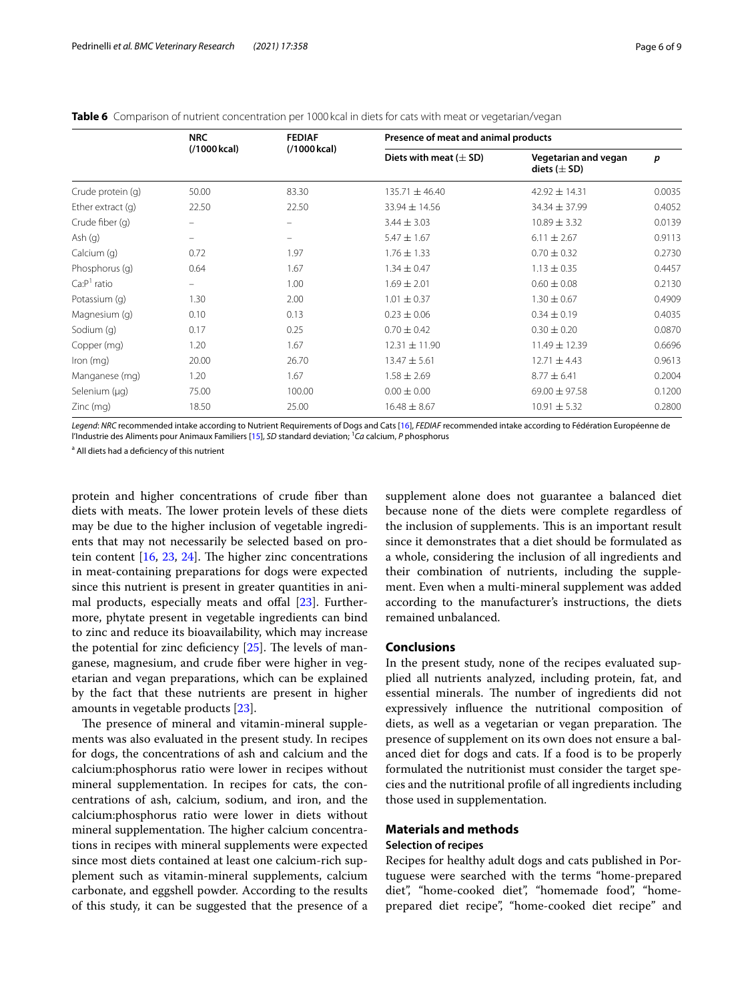#### <span id="page-5-0"></span>**Table 6** Comparison of nutrient concentration per 1000 kcal in diets for cats with meat or vegetarian/vegan

|                     | <b>NRC</b><br>(/1000 kcal) | <b>FEDIAF</b><br>(/1000 kcal) | Presence of meat and animal products |                                          |        |  |
|---------------------|----------------------------|-------------------------------|--------------------------------------|------------------------------------------|--------|--|
|                     |                            |                               | Diets with meat $(\pm$ SD)           | Vegetarian and vegan<br>diets $(\pm$ SD) | p      |  |
| Crude protein (q)   | 50.00                      | 83.30                         | $135.71 \pm 46.40$                   | $42.92 \pm 14.31$                        | 0.0035 |  |
| Ether extract $(q)$ | 22.50                      | 22.50                         | $33.94 \pm 14.56$                    | $34.34 \pm 37.99$                        | 0.4052 |  |
| Crude fiber (q)     |                            | $\qquad \qquad =$             | $3.44 \pm 3.03$                      | $10.89 \pm 3.32$                         | 0.0139 |  |
| Ash $(q)$           |                            | $\qquad \qquad =$             | $5.47 \pm 1.67$                      | $6.11 \pm 2.67$                          | 0.9113 |  |
| Calcium (g)         | 0.72                       | 1.97                          | $1.76 \pm 1.33$                      | $0.70 \pm 0.32$                          | 0.2730 |  |
| Phosphorus (q)      | 0.64                       | 1.67                          | $1.34 \pm 0.47$                      | $1.13 \pm 0.35$                          | 0.4457 |  |
| $Ca:P1$ ratio       | $\qquad \qquad =$          | 1.00                          | $1.69 \pm 2.01$                      | $0.60 \pm 0.08$                          | 0.2130 |  |
| Potassium (q)       | 1.30                       | 2.00                          | $1.01 \pm 0.37$                      | $1.30 \pm 0.67$                          | 0.4909 |  |
| Magnesium (g)       | 0.10                       | 0.13                          | $0.23 \pm 0.06$                      | $0.34 \pm 0.19$                          | 0.4035 |  |
| Sodium (g)          | 0.17                       | 0.25                          | $0.70 \pm 0.42$                      | $0.30 \pm 0.20$                          | 0.0870 |  |
| Copper (mg)         | 1.20                       | 1.67                          | $12.31 \pm 11.90$                    | $11.49 \pm 12.39$                        | 0.6696 |  |
| $lron$ (mg)         | 20.00                      | 26.70                         | $13.47 \pm 5.61$                     | $12.71 \pm 4.43$                         | 0.9613 |  |
| Manganese (mg)      | 1.20                       | 1.67                          | $1.58 \pm 2.69$                      | $8.77 \pm 6.41$                          | 0.2004 |  |
| Selenium (µg)       | 75.00                      | 100.00                        | $0.00 \pm 0.00$                      | $69.00 \pm 97.58$                        | 0.1200 |  |
| $Zinc$ (mg)         | 18.50                      | 25.00                         | $16.48 \pm 8.67$                     | $10.91 \pm 5.32$                         | 0.2800 |  |

*Legend*: *NRC* recommended intake according to Nutrient Requirements of Dogs and Cats [\[16\]](#page-7-15), *FEDIAF* recommended intake according to Fédération Européenne de l'Industrie des Aliments pour Animaux Familiers [[15\]](#page-7-14), *SD* standard deviation; 1 *Ca* calcium, *P* phosphorus

<sup>a</sup> All diets had a deficiency of this nutrient

protein and higher concentrations of crude fber than diets with meats. The lower protein levels of these diets may be due to the higher inclusion of vegetable ingredients that may not necessarily be selected based on protein content  $[16, 23, 24]$  $[16, 23, 24]$  $[16, 23, 24]$  $[16, 23, 24]$  $[16, 23, 24]$  $[16, 23, 24]$  $[16, 23, 24]$ . The higher zinc concentrations in meat-containing preparations for dogs were expected since this nutrient is present in greater quantities in animal products, especially meats and offal  $[23]$  $[23]$ . Furthermore, phytate present in vegetable ingredients can bind to zinc and reduce its bioavailability, which may increase the potential for zinc deficiency  $[25]$ . The levels of manganese, magnesium, and crude fber were higher in vegetarian and vegan preparations, which can be explained by the fact that these nutrients are present in higher amounts in vegetable products [[23](#page-8-5)].

The presence of mineral and vitamin-mineral supplements was also evaluated in the present study. In recipes for dogs, the concentrations of ash and calcium and the calcium:phosphorus ratio were lower in recipes without mineral supplementation. In recipes for cats, the concentrations of ash, calcium, sodium, and iron, and the calcium:phosphorus ratio were lower in diets without mineral supplementation. The higher calcium concentrations in recipes with mineral supplements were expected since most diets contained at least one calcium-rich supplement such as vitamin-mineral supplements, calcium carbonate, and eggshell powder. According to the results of this study, it can be suggested that the presence of a

supplement alone does not guarantee a balanced diet because none of the diets were complete regardless of the inclusion of supplements. This is an important result since it demonstrates that a diet should be formulated as a whole, considering the inclusion of all ingredients and their combination of nutrients, including the supplement. Even when a multi-mineral supplement was added according to the manufacturer's instructions, the diets remained unbalanced.

# **Conclusions**

In the present study, none of the recipes evaluated supplied all nutrients analyzed, including protein, fat, and essential minerals. The number of ingredients did not expressively infuence the nutritional composition of diets, as well as a vegetarian or vegan preparation. The presence of supplement on its own does not ensure a balanced diet for dogs and cats. If a food is to be properly formulated the nutritionist must consider the target species and the nutritional profle of all ingredients including those used in supplementation.

# **Materials and methods**

### **Selection of recipes**

Recipes for healthy adult dogs and cats published in Portuguese were searched with the terms "home-prepared diet", "home-cooked diet", "homemade food", "homeprepared diet recipe", "home-cooked diet recipe" and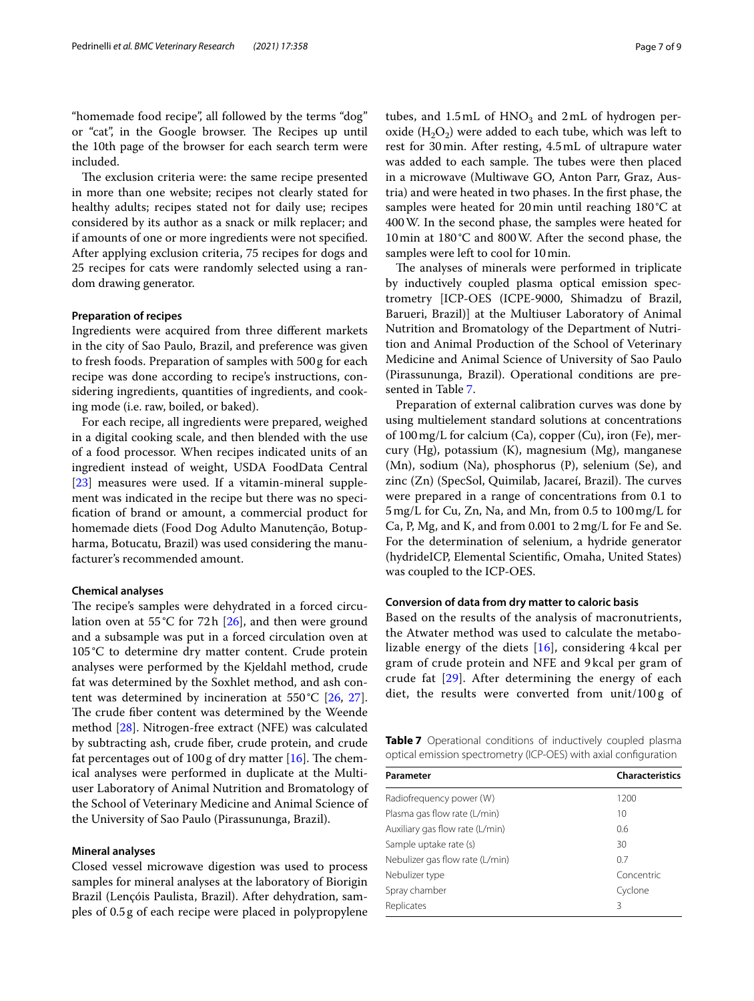"homemade food recipe", all followed by the terms "dog" or "cat", in the Google browser. The Recipes up until the 10th page of the browser for each search term were included.

The exclusion criteria were: the same recipe presented in more than one website; recipes not clearly stated for healthy adults; recipes stated not for daily use; recipes considered by its author as a snack or milk replacer; and if amounts of one or more ingredients were not specifed. After applying exclusion criteria, 75 recipes for dogs and 25 recipes for cats were randomly selected using a random drawing generator.

#### **Preparation of recipes**

Ingredients were acquired from three diferent markets in the city of Sao Paulo, Brazil, and preference was given to fresh foods. Preparation of samples with 500g for each recipe was done according to recipe's instructions, considering ingredients, quantities of ingredients, and cooking mode (i.e. raw, boiled, or baked).

For each recipe, all ingredients were prepared, weighed in a digital cooking scale, and then blended with the use of a food processor. When recipes indicated units of an ingredient instead of weight, USDA FoodData Central [[23\]](#page-8-5) measures were used. If a vitamin-mineral supplement was indicated in the recipe but there was no specifcation of brand or amount, a commercial product for homemade diets (Food Dog Adulto Manutenção, Botupharma, Botucatu, Brazil) was used considering the manufacturer's recommended amount.

## **Chemical analyses**

The recipe's samples were dehydrated in a forced circulation oven at 55°C for 72h [\[26\]](#page-8-8), and then were ground and a subsample was put in a forced circulation oven at 105°C to determine dry matter content. Crude protein analyses were performed by the Kjeldahl method, crude fat was determined by the Soxhlet method, and ash content was determined by incineration at  $550^{\circ}$ C [\[26](#page-8-8), [27](#page-8-9)]. The crude fiber content was determined by the Weende method [[28\]](#page-8-10). Nitrogen-free extract (NFE) was calculated by subtracting ash, crude fber, crude protein, and crude fat percentages out of  $100 g$  of dry matter [\[16](#page-7-15)]. The chemical analyses were performed in duplicate at the Multiuser Laboratory of Animal Nutrition and Bromatology of the School of Veterinary Medicine and Animal Science of the University of Sao Paulo (Pirassununga, Brazil).

## **Mineral analyses**

Closed vessel microwave digestion was used to process samples for mineral analyses at the laboratory of Biorigin Brazil (Lençóis Paulista, Brazil). After dehydration, samples of 0.5g of each recipe were placed in polypropylene tubes, and  $1.5$ mL of  $HNO<sub>3</sub>$  and  $2$ mL of hydrogen peroxide  $(H_2O_2)$  were added to each tube, which was left to rest for 30min. After resting, 4.5mL of ultrapure water was added to each sample. The tubes were then placed in a microwave (Multiwave GO, Anton Parr, Graz, Austria) and were heated in two phases. In the frst phase, the samples were heated for 20min until reaching 180°C at 400W. In the second phase, the samples were heated for 10min at 180°C and 800W. After the second phase, the samples were left to cool for 10min.

The analyses of minerals were performed in triplicate by inductively coupled plasma optical emission spectrometry [ICP-OES (ICPE-9000, Shimadzu of Brazil, Barueri, Brazil)] at the Multiuser Laboratory of Animal Nutrition and Bromatology of the Department of Nutrition and Animal Production of the School of Veterinary Medicine and Animal Science of University of Sao Paulo (Pirassununga, Brazil). Operational conditions are presented in Table [7.](#page-6-0)

Preparation of external calibration curves was done by using multielement standard solutions at concentrations of 100mg/L for calcium (Ca), copper (Cu), iron (Fe), mercury (Hg), potassium (K), magnesium (Mg), manganese (Mn), sodium (Na), phosphorus (P), selenium (Se), and zinc (Zn) (SpecSol, Quimilab, Jacareí, Brazil). The curves were prepared in a range of concentrations from 0.1 to 5mg/L for Cu, Zn, Na, and Mn, from 0.5 to 100mg/L for Ca, P, Mg, and K, and from 0.001 to 2mg/L for Fe and Se. For the determination of selenium, a hydride generator (hydrideICP, Elemental Scientifc, Omaha, United States) was coupled to the ICP-OES.

#### **Conversion of data from dry matter to caloric basis**

Based on the results of the analysis of macronutrients, the Atwater method was used to calculate the metabolizable energy of the diets [[16\]](#page-7-15), considering 4 kcal per gram of crude protein and NFE and 9 kcal per gram of crude fat [\[29](#page-8-11)]. After determining the energy of each diet, the results were converted from unit/100g of

<span id="page-6-0"></span>**Table 7** Operational conditions of inductively coupled plasma optical emission spectrometry (ICP-OES) with axial confguration

| Parameter                       | <b>Characteristics</b> |
|---------------------------------|------------------------|
| Radiofrequency power (W)        | 1200                   |
| Plasma gas flow rate (L/min)    | 10                     |
| Auxiliary gas flow rate (L/min) | 0.6                    |
| Sample uptake rate (s)          | 30                     |
| Nebulizer gas flow rate (L/min) | 0.7                    |
| Nebulizer type                  | Concentric             |
| Spray chamber                   | Cyclone                |
| Replicates                      | 3                      |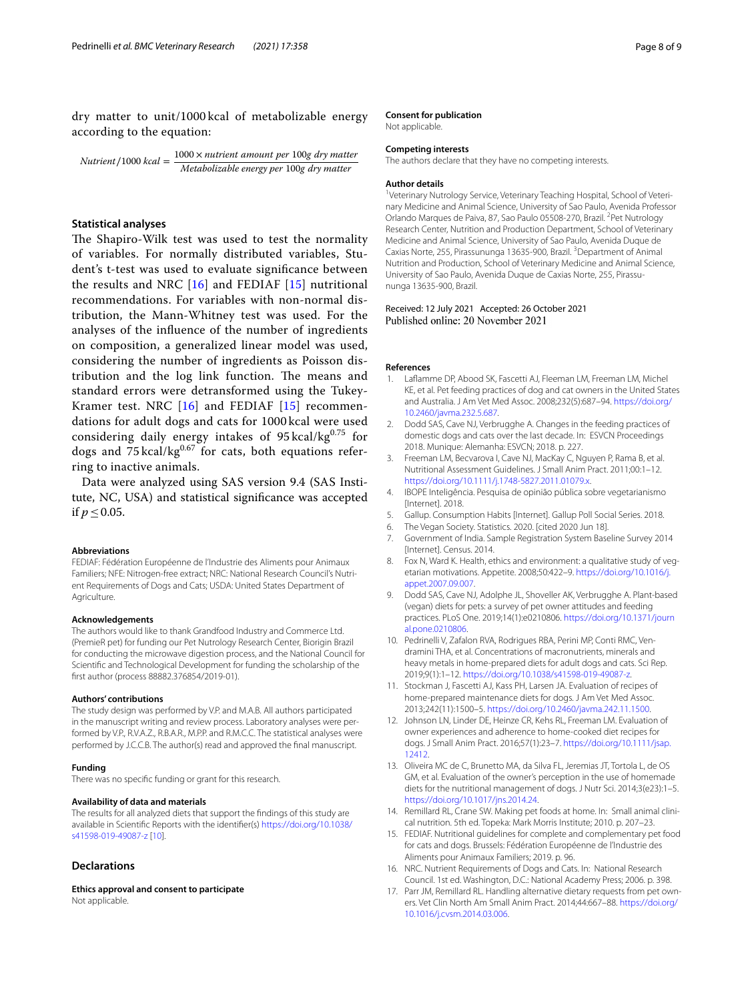dry matter to unit/1000 kcal of metabolizable energy according to the equation:

Nutrient/1000 kcal =  $\frac{1000 \times$  nutrient amount per 100g dry matter Metabolizable energy per 100g dry matter

## **Statistical analyses**

The Shapiro-Wilk test was used to test the normality of variables. For normally distributed variables, Student's t-test was used to evaluate signifcance between the results and NRC [\[16](#page-7-15)] and FEDIAF [\[15\]](#page-7-14) nutritional recommendations. For variables with non-normal distribution, the Mann-Whitney test was used. For the analyses of the infuence of the number of ingredients on composition, a generalized linear model was used, considering the number of ingredients as Poisson distribution and the log link function. The means and standard errors were detransformed using the Tukey-Kramer test. NRC [[16\]](#page-7-15) and FEDIAF [[15](#page-7-14)] recommendations for adult dogs and cats for 1000 kcal were used considering daily energy intakes of  $95 \text{ kcal/kg}^{0.75}$  for dogs and  $75 \text{ kcal/kg}^{0.67}$  for cats, both equations referring to inactive animals.

Data were analyzed using SAS version 9.4 (SAS Institute, NC, USA) and statistical signifcance was accepted if  $p < 0.05$ .

#### **Abbreviations**

FEDIAF: Fédération Européenne de l'Industrie des Aliments pour Animaux Familiers; NFE: Nitrogen-free extract; NRC: National Research Council's Nutrient Requirements of Dogs and Cats; USDA: United States Department of Agriculture.

#### **Acknowledgements**

The authors would like to thank Grandfood Industry and Commerce Ltd. (PremieR pet) for funding our Pet Nutrology Research Center, Biorigin Brazil for conducting the microwave digestion process, and the National Council for Scientifc and Technological Development for funding the scholarship of the frst author (process 88882.376854/2019-01).

#### **Authors' contributions**

The study design was performed by V.P. and M.A.B. All authors participated in the manuscript writing and review process. Laboratory analyses were performed by V.P., R.V.A.Z., R.B.A.R., M.P.P. and R.M.C.C. The statistical analyses were performed by J.C.C.B. The author(s) read and approved the fnal manuscript.

#### **Funding**

There was no specifc funding or grant for this research.

#### **Availability of data and materials**

The results for all analyzed diets that support the fndings of this study are available in Scientifc Reports with the identifer(s) [https://doi.org/10.1038/](https://doi.org/10.1038/s41598-019-49087-z) [s41598-019-49087-z](https://doi.org/10.1038/s41598-019-49087-z) [\[10\]](#page-7-9).

## **Declarations**

**Ethics approval and consent to participate** Not applicable.

#### **Consent for publication**

Not applicable.

# **Competing interests**

The authors declare that they have no competing interests.

#### **Author details**

<sup>1</sup>Veterinary Nutrology Service, Veterinary Teaching Hospital, School of Veterinary Medicine and Animal Science, University of Sao Paulo, Avenida Professor Orlando Marques de Paiva, 87, Sao Paulo 05508-270, Brazil. <sup>2</sup>Pet Nutrology Research Center, Nutrition and Production Department, School of Veterinary Medicine and Animal Science, University of Sao Paulo, Avenida Duque de Caxias Norte, 255, Pirassununga 13635-900, Brazil.<sup>3</sup> Department of Animal Nutrition and Production, School of Veterinary Medicine and Animal Science, University of Sao Paulo, Avenida Duque de Caxias Norte, 255, Pirassununga 13635-900, Brazil.

#### Received: 12 July 2021 Accepted: 26 October 2021 Published online: 20 November 2021

#### **References**

- <span id="page-7-0"></span>1. Lafamme DP, Abood SK, Fascetti AJ, Fleeman LM, Freeman LM, Michel KE, et al. Pet feeding practices of dog and cat owners in the United States and Australia. J Am Vet Med Assoc. 2008;232(5):687–94. [https://doi.org/](https://doi.org/10.2460/javma.232.5.687) [10.2460/javma.232.5.687](https://doi.org/10.2460/javma.232.5.687).
- <span id="page-7-1"></span>2. Dodd SAS, Cave NJ, Verbrugghe A. Changes in the feeding practices of domestic dogs and cats over the last decade. In: ESVCN Proceedings 2018. Munique: Alemanha: ESVCN; 2018. p. 227.
- <span id="page-7-2"></span>3. Freeman LM, Becvarova I, Cave NJ, MacKay C, Nguyen P, Rama B, et al. Nutritional Assessment Guidelines. J Small Anim Pract. 2011;00:1–12. [https://doi.org/10.1111/j.1748-5827.2011.01079.x.](https://doi.org/10.1111/j.1748-5827.2011.01079.x)
- <span id="page-7-3"></span>4. IBOPE Inteligência. Pesquisa de opinião pública sobre vegetarianismo [Internet]. 2018.
- <span id="page-7-4"></span>5. Gallup. Consumption Habits [Internet]. Gallup Poll Social Series. 2018.
- <span id="page-7-5"></span>6. The Vegan Society. Statistics. 2020. [cited 2020 Jun 18].
- <span id="page-7-6"></span>7. Government of India. Sample Registration System Baseline Survey 2014 [Internet]. Census. 2014.
- <span id="page-7-7"></span>8. Fox N, Ward K. Health, ethics and environment: a qualitative study of vegetarian motivations. Appetite. 2008;50:422–9. [https://doi.org/10.1016/j.](https://doi.org/10.1016/j.appet.2007.09.007) [appet.2007.09.007](https://doi.org/10.1016/j.appet.2007.09.007).
- <span id="page-7-8"></span>9. Dodd SAS, Cave NJ, Adolphe JL, Shoveller AK, Verbrugghe A. Plant-based (vegan) diets for pets: a survey of pet owner attitudes and feeding practices. PLoS One. 2019;14(1):e0210806. [https://doi.org/10.1371/journ](https://doi.org/10.1371/journal.pone.0210806) [al.pone.0210806.](https://doi.org/10.1371/journal.pone.0210806)
- <span id="page-7-9"></span>10. Pedrinelli V, Zafalon RVA, Rodrigues RBA, Perini MP, Conti RMC, Vendramini THA, et al. Concentrations of macronutrients, minerals and heavy metals in home-prepared diets for adult dogs and cats. Sci Rep. 2019;9(1):1–12. [https://doi.org/10.1038/s41598-019-49087-z.](https://doi.org/10.1038/s41598-019-49087-z)
- <span id="page-7-10"></span>11. Stockman J, Fascetti AJ, Kass PH, Larsen JA. Evaluation of recipes of home-prepared maintenance diets for dogs. J Am Vet Med Assoc. 2013;242(11):1500–5. <https://doi.org/10.2460/javma.242.11.1500>.
- <span id="page-7-11"></span>12. Johnson LN, Linder DE, Heinze CR, Kehs RL, Freeman LM. Evaluation of owner experiences and adherence to home-cooked diet recipes for dogs. J Small Anim Pract. 2016;57(1):23–7. [https://doi.org/10.1111/jsap.](https://doi.org/10.1111/jsap.12412) [12412](https://doi.org/10.1111/jsap.12412).
- <span id="page-7-12"></span>13. Oliveira MC de C, Brunetto MA, da Silva FL, Jeremias JT, Tortola L, de OS GM, et al. Evaluation of the owner's perception in the use of homemade diets for the nutritional management of dogs. J Nutr Sci. 2014;3(e23):1–5. <https://doi.org/10.1017/jns.2014.24>.
- <span id="page-7-13"></span>14. Remillard RL, Crane SW. Making pet foods at home. In: Small animal clinical nutrition. 5th ed. Topeka: Mark Morris Institute; 2010. p. 207–23.
- <span id="page-7-14"></span>15. FEDIAF. Nutritional guidelines for complete and complementary pet food for cats and dogs. Brussels: Fédération Européenne de l'Industrie des Aliments pour Animaux Familiers; 2019. p. 96.
- <span id="page-7-15"></span>16. NRC. Nutrient Requirements of Dogs and Cats. In: National Research Council. 1st ed. Washington, D.C.: National Academy Press; 2006. p. 398.
- <span id="page-7-16"></span>17. Parr JM, Remillard RL. Handling alternative dietary requests from pet owners. Vet Clin North Am Small Anim Pract. 2014;44:667–88. [https://doi.org/](https://doi.org/10.1016/j.cvsm.2014.03.006) [10.1016/j.cvsm.2014.03.006](https://doi.org/10.1016/j.cvsm.2014.03.006).